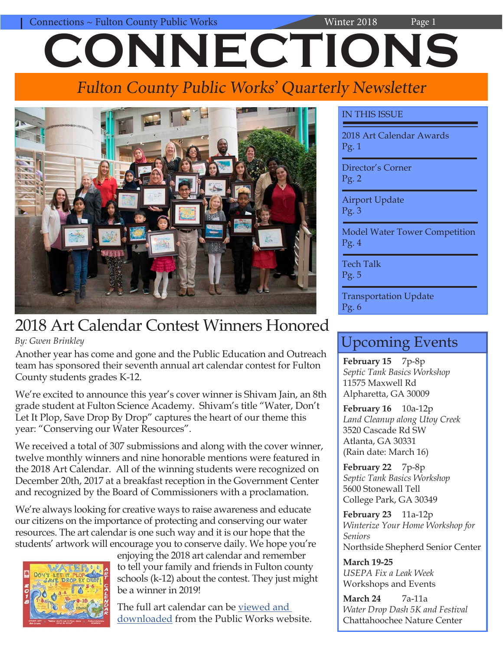# Connections ~ Fulton County Public Works Winter 2018 Page 1 **CONNECTIONS**

# Fulton County Public Works' Quarterly Newsletter



## 2018 Art Calendar Contest Winners Honored *By: Gwen Brinkley*

Another year has come and gone and the Public Education and Outreach team has sponsored their seventh annual art calendar contest for Fulton County students grades K-12.

We're excited to announce this year's cover winner is Shivam Jain, an 8th grade student at Fulton Science Academy. Shivam's title "Water, Don't Let It Plop, Save Drop By Drop" captures the heart of our theme this year: "Conserving our Water Resources".

We received a total of 307 submissions and along with the cover winner, twelve monthly winners and nine honorable mentions were featured in the 2018 Art Calendar. All of the winning students were recognized on December 20th, 2017 at a breakfast reception in the Government Center and recognized by the Board of Commissioners with a proclamation.

We're always looking for creative ways to raise awareness and educate our citizens on the importance of protecting and conserving our water resources. The art calendar is one such way and it is our hope that the students' artwork will encourage you to conserve daily. We hope you're



enjoying the 2018 art calendar and remember to tell your family and friends in Fulton county schools (k-12) about the contest. They just might be a winner in 2019!

The full art calendar can be [viewed and](http://www.fultoncountyga.gov/component/content/article/8963)  [downloaded](http://www.fultoncountyga.gov/component/content/article/8963) from the Public Works website.

## IN THIS ISSUE

2018 Art Calendar Awards Pg. 1

Director's Corner Pg. 2

Airport Update Pg. 3

Model Water Tower Competition Pg. 4

Tech Talk Pg. 5

Transportation Update Pg. 6

## Upcoming Events

February 15 7p-8p *Septic Tank Basics Workshop* 11575 Maxwell Rd Alpharetta, GA 30009

**February 16** 10a-12p *Land Cleanup along Utoy Creek* 3520 Cascade Rd SW Atlanta, GA 30331 (Rain date: March 16)

**February 22** 7p-8p *Septic Tank Basics Workshop* 5600 Stonewall Tell College Park, GA 30349

**February 23** 11a-12p *Winterize Your Home Workshop for Seniors* Northside Shepherd Senior Center

**March 19-25** *USEPA Fix a Leak Week* Workshops and Events

**March 24** 7a-11a *Water Drop Dash 5K and Festival* Chattahoochee Nature Center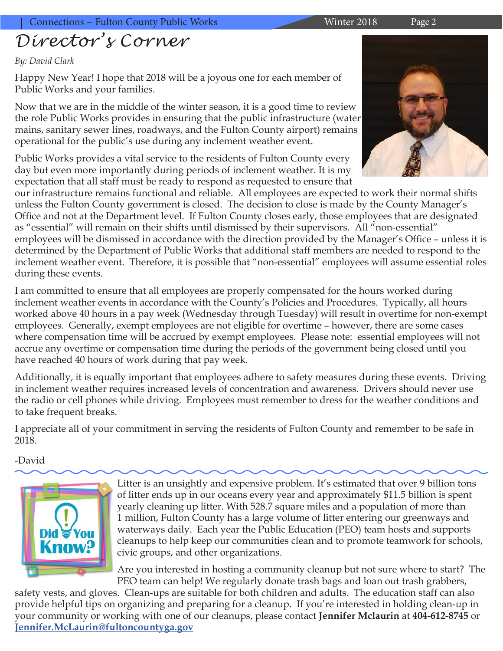# *Director's Corner*

## *By: David Clark*

Happy New Year! I hope that 2018 will be a joyous one for each member of Public Works and your families.

Now that we are in the middle of the winter season, it is a good time to review the role Public Works provides in ensuring that the public infrastructure (water mains, sanitary sewer lines, roadways, and the Fulton County airport) remains operational for the public's use during any inclement weather event.

Public Works provides a vital service to the residents of Fulton County every day but even more importantly during periods of inclement weather. It is my expectation that all staff must be ready to respond as requested to ensure that

our infrastructure remains functional and reliable. All employees are expected to work their normal shifts unless the Fulton County government is closed. The decision to close is made by the County Manager's Office and not at the Department level. If Fulton County closes early, those employees that are designated as "essential" will remain on their shifts until dismissed by their supervisors. All "non-essential" employees will be dismissed in accordance with the direction provided by the Manager's Office – unless it is determined by the Department of Public Works that additional staff members are needed to respond to the inclement weather event. Therefore, it is possible that "non-essential" employees will assume essential roles during these events.

I am committed to ensure that all employees are properly compensated for the hours worked during inclement weather events in accordance with the County's Policies and Procedures. Typically, all hours worked above 40 hours in a pay week (Wednesday through Tuesday) will result in overtime for non-exempt employees. Generally, exempt employees are not eligible for overtime – however, there are some cases where compensation time will be accrued by exempt employees. Please note: essential employees will not accrue any overtime or compensation time during the periods of the government being closed until you have reached 40 hours of work during that pay week.

Additionally, it is equally important that employees adhere to safety measures during these events. Driving in inclement weather requires increased levels of concentration and awareness. Drivers should never use the radio or cell phones while driving. Employees must remember to dress for the weather conditions and to take frequent breaks.

I appreciate all of your commitment in serving the residents of Fulton County and remember to be safe in 2018.

-David



Litter is an unsightly and expensive problem. It's estimated that over 9 billion tons of litter ends up in our oceans every year and approximately \$11.5 billion is spent yearly cleaning up litter. With 528.7 square miles and a population of more than 1 million, Fulton County has a large volume of litter entering our greenways and waterways daily. Each year the Public Education (PEO) team hosts and supports cleanups to help keep our communities clean and to promote teamwork for schools, civic groups, and other organizations.

Are you interested in hosting a community cleanup but not sure where to start? The PEO team can help! We regularly donate trash bags and loan out trash grabbers,

safety vests, and gloves. Clean-ups are suitable for both children and adults. The education staff can also provide helpful tips on organizing and preparing for a cleanup. If you're interested in holding clean-up in your community or working with one of our cleanups, please contact **Jennifer Mclaurin** at **404-612-8745** or **[Jennifer.McLaurin@fultoncountyga.gov](mailto:Jennifer.McLaurin%40fultoncountyga.gov?subject=Community%20Cleanups)**

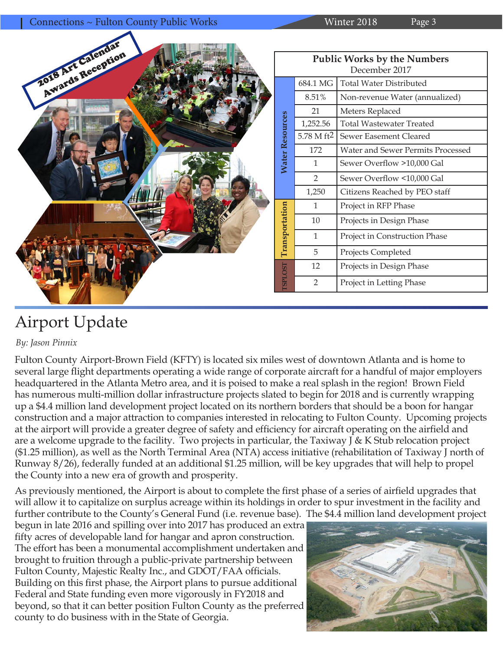Connections ~ Fulton County Public Works Winter 2018 Page 3 2018 Art Calendar **OIS Art Calention** 

| <b>Public Works by the Numbers</b><br>December 2017 |                          |                                   |  |  |
|-----------------------------------------------------|--------------------------|-----------------------------------|--|--|
| <b>Water Resources</b>                              | 684.1 MG                 | <b>Total Water Distributed</b>    |  |  |
|                                                     | 8.51%                    | Non-revenue Water (annualized)    |  |  |
|                                                     | 21                       | Meters Replaced                   |  |  |
|                                                     | 1,252.56                 | <b>Total Wastewater Treated</b>   |  |  |
|                                                     | $5.78$ M ft <sup>2</sup> | Sewer Easement Cleared            |  |  |
|                                                     | 172                      | Water and Sewer Permits Processed |  |  |
|                                                     | 1                        | Sewer Overflow >10,000 Gal        |  |  |
|                                                     | 2                        | Sewer Overflow <10,000 Gal        |  |  |
|                                                     | 1,250                    | Citizens Reached by PEO staff     |  |  |
| <b>TSPLOST</b> Transportation                       | 1                        | Project in RFP Phase              |  |  |
|                                                     | 10                       | Projects in Design Phase          |  |  |
|                                                     | 1                        | Project in Construction Phase     |  |  |
|                                                     | 5                        | Projects Completed                |  |  |
|                                                     | 12                       | Projects in Design Phase          |  |  |
|                                                     | $\overline{2}$           | Project in Letting Phase          |  |  |

# Airport Update

*By: Jason Pinnix*

Fulton County Airport-Brown Field (KFTY) is located six miles west of downtown Atlanta and is home to several large flight departments operating a wide range of corporate aircraft for a handful of major employers headquartered in the Atlanta Metro area, and it is poised to make a real splash in the region! Brown Field has numerous multi-million dollar infrastructure projects slated to begin for 2018 and is currently wrapping up a \$4.4 million land development project located on its northern borders that should be a boon for hangar construction and a major attraction to companies interested in relocating to Fulton County. Upcoming projects at the airport will provide a greater degree of safety and efficiency for aircraft operating on the airfield and are a welcome upgrade to the facility. Two projects in particular, the Taxiway J & K Stub relocation project (\$1.25 million), as well as the North Terminal Area (NTA) access initiative (rehabilitation of Taxiway J north of Runway 8/26), federally funded at an additional \$1.25 million, will be key upgrades that will help to propel the County into a new era of growth and prosperity.

As previously mentioned, the Airport is about to complete the first phase of a series of airfield upgrades that will allow it to capitalize on surplus acreage within its holdings in order to spur investment in the facility and further contribute to the County's General Fund (i.e. revenue base). The \$4.4 million land development project

begun in late 2016 and spilling over into 2017 has produced an extra fifty acres of developable land for hangar and apron construction. The effort has been a monumental accomplishment undertaken and brought to fruition through a public-private partnership between Fulton County, Majestic Realty Inc., and GDOT/FAA officials. Building on this first phase, the Airport plans to pursue additional Federal and State funding even more vigorously in FY2018 and beyond, so that it can better position Fulton County as the preferred county to do business with in the State of Georgia.

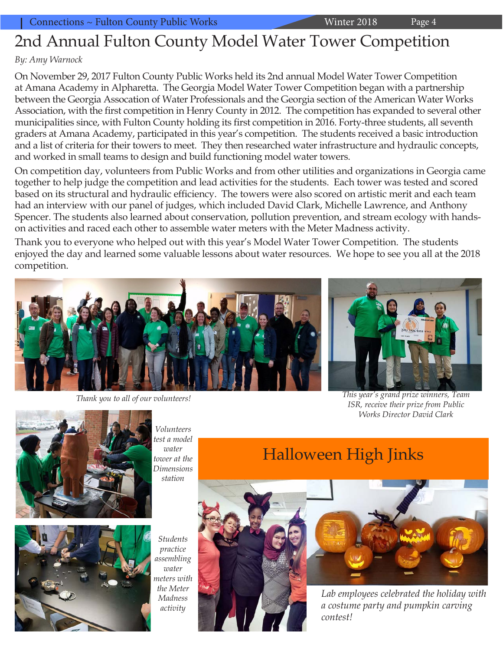# 2nd Annual Fulton County Model Water Tower Competition

## *By: Amy Warnock*

On November 29, 2017 Fulton County Public Works held its 2nd annual Model Water Tower Competition at Amana Academy in Alpharetta. The Georgia Model Water Tower Competition began with a partnership between the Georgia Assocation of Water Professionals and the Georgia section of the American Water Works Association, with the first competition in Henry County in 2012. The competition has expanded to several other municipalities since, with Fulton County holding its first competition in 2016. Forty-three students, all seventh graders at Amana Academy, participated in this year's competition. The students received a basic introduction and a list of criteria for their towers to meet. They then researched water infrastructure and hydraulic concepts, and worked in small teams to design and build functioning model water towers.

On competition day, volunteers from Public Works and from other utilities and organizations in Georgia came together to help judge the competition and lead activities for the students. Each tower was tested and scored based on its structural and hydraulic efficiency. The towers were also scored on artistic merit and each team had an interview with our panel of judges, which included David Clark, Michelle Lawrence, and Anthony Spencer. The students also learned about conservation, pollution prevention, and stream ecology with handson activities and raced each other to assemble water meters with the Meter Madness activity.

Thank you to everyone who helped out with this year's Model Water Tower Competition. The students enjoyed the day and learned some valuable lessons about water resources. We hope to see you all at the 2018 competition.



*Thank you to all of our volunteers!*



*This year's grand prize winners, Team ISR, receive their prize from Public Works Director David Clark*



*Volunteers test a model water tower at the Dimensions station*



*Students practice assembling water meters with the Meter Madness activity*





*Lab employees celebrated the holiday with a costume party and pumpkin carving contest!*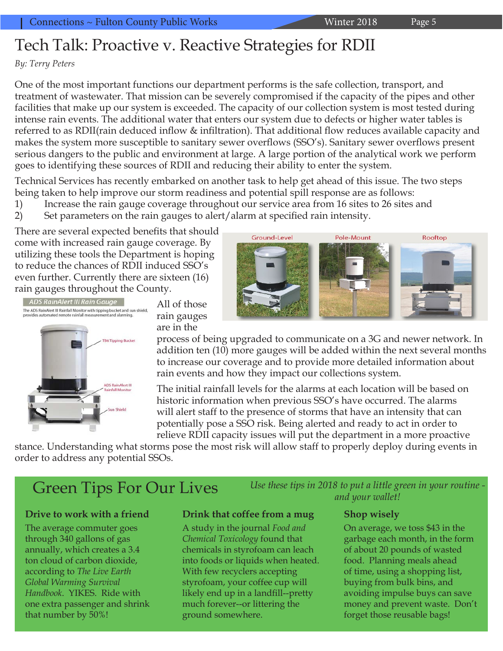## Tech Talk: Proactive v. Reactive Strategies for RDII

## *By: Terry Peters*

One of the most important functions our department performs is the safe collection, transport, and treatment of wastewater. That mission can be severely compromised if the capacity of the pipes and other facilities that make up our system is exceeded. The capacity of our collection system is most tested during intense rain events. The additional water that enters our system due to defects or higher water tables is referred to as RDII(rain deduced inflow & infiltration). That additional flow reduces available capacity and makes the system more susceptible to sanitary sewer overflows (SSO's). Sanitary sewer overflows present serious dangers to the public and environment at large. A large portion of the analytical work we perform goes to identifying these sources of RDII and reducing their ability to enter the system.

Technical Services has recently embarked on another task to help get ahead of this issue. The two steps being taken to help improve our storm readiness and potential spill response are as follows:

- 1) Increase the rain gauge coverage throughout our service area from 16 sites to 26 sites and
- 2) Set parameters on the rain gauges to alert/alarm at specified rain intensity.

There are several expected benefits that should come with increased rain gauge coverage. By utilizing these tools the Department is hoping to reduce the chances of RDII induced SSO's even further. Currently there are sixteen (16) rain gauges throughout the County.



All of those rain gauges are in the

process of being upgraded to communicate on a 3G and newer network. In addition ten (10) more gauges will be added within the next several months to increase our coverage and to provide more detailed information about rain events and how they impact our collections system.

The initial rainfall levels for the alarms at each location will be based on historic information when previous SSO's have occurred. The alarms will alert staff to the presence of storms that have an intensity that can potentially pose a SSO risk. Being alerted and ready to act in order to relieve RDII capacity issues will put the department in a more proactive

stance. Understanding what storms pose the most risk will allow staff to properly deploy during events in order to address any potential SSOs.

### **Drive to work with a friend**

The average commuter goes through 340 gallons of gas annually, which creates a 3.4 ton cloud of carbon dioxide, according to *The Live Earth Global Warming Survival Handbook*. YIKES. Ride with one extra passenger and shrink that number by 50%!

### **Drink that coffee from a mug**

A study in the journal *Food and Chemical Toxicology* found that chemicals in styrofoam can leach into foods or liquids when heated. With few recyclers accepting styrofoam, your coffee cup will likely end up in a landfill--pretty much forever--or littering the ground somewhere.

Green Tips For Our Lives *Use these tips in 2018 to put a little green in your routine and your wallet!*

### **Shop wisely**

On average, we toss \$43 in the garbage each month, in the form of about 20 pounds of wasted food. Planning meals ahead of time, using a shopping list, buying from bulk bins, and avoiding impulse buys can save money and prevent waste. Don't forget those reusable bags!